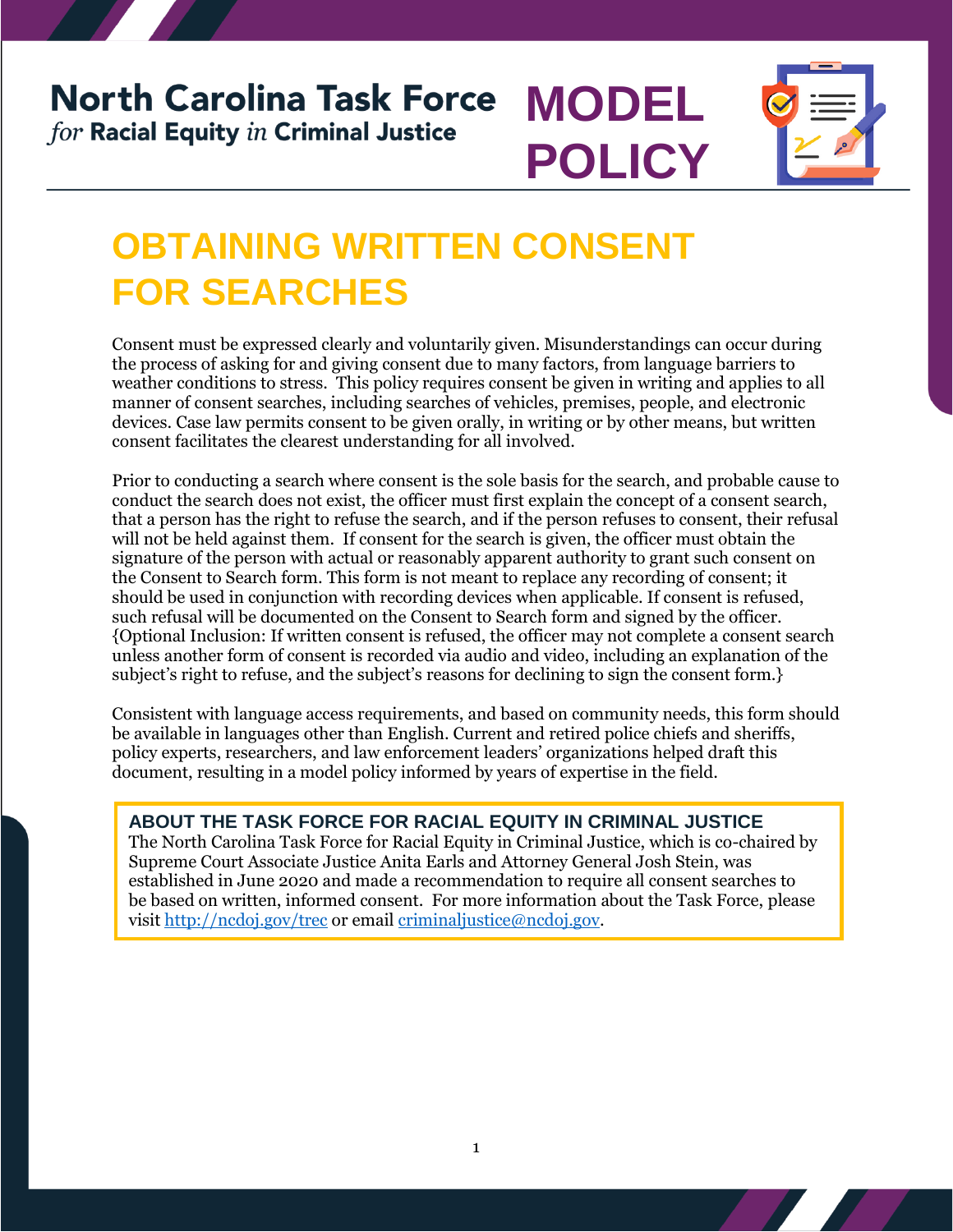## **North Carolina Task Force MODEL** for Racial Equity in Criminal Justice



# **OBTAINING WRITTEN CONSENT FOR SEARCHES**

Consent must be expressed clearly and voluntarily given. Misunderstandings can occur during the process of asking for and giving consent due to many factors, from language barriers to weather conditions to stress. This policy requires consent be given in writing and applies to all manner of consent searches, including searches of vehicles, premises, people, and electronic devices. Case law permits consent to be given orally, in writing or by other means, but written consent facilitates the clearest understanding for all involved.

**POLICY**

Prior to conducting a search where consent is the sole basis for the search, and probable cause to conduct the search does not exist, the officer must first explain the concept of a consent search, that a person has the right to refuse the search, and if the person refuses to consent, their refusal will not be held against them. If consent for the search is given, the officer must obtain the signature of the person with actual or reasonably apparent authority to grant such consent on the Consent to Search form. This form is not meant to replace any recording of consent; it should be used in conjunction with recording devices when applicable. If consent is refused, such refusal will be documented on the Consent to Search form and signed by the officer. {Optional Inclusion: If written consent is refused, the officer may not complete a consent search unless another form of consent is recorded via audio and video, including an explanation of the subject's right to refuse, and the subject's reasons for declining to sign the consent form.}

Consistent with language access requirements, and based on community needs, this form should be available in languages other than English. Current and retired police chiefs and sheriffs, policy experts, researchers, and law enforcement leaders' organizations helped draft this document, resulting in a model policy informed by years of expertise in the field.

### **ABOUT THE TASK FORCE FOR RACIAL EQUITY IN CRIMINAL JUSTICE**

The North Carolina Task Force for Racial Equity in Criminal Justice, which is co-chaired by Supreme Court Associate Justice Anita Earls and Attorney General Josh Stein, was established in June 2020 and made a recommendation to require all consent searches to be based on written, informed consent. For more information about the Task Force, please visit<http://ncdoj.gov/trec> or email [criminaljustice@ncdoj.gov.](mailto:criminaljustice@ncdoj.gov)